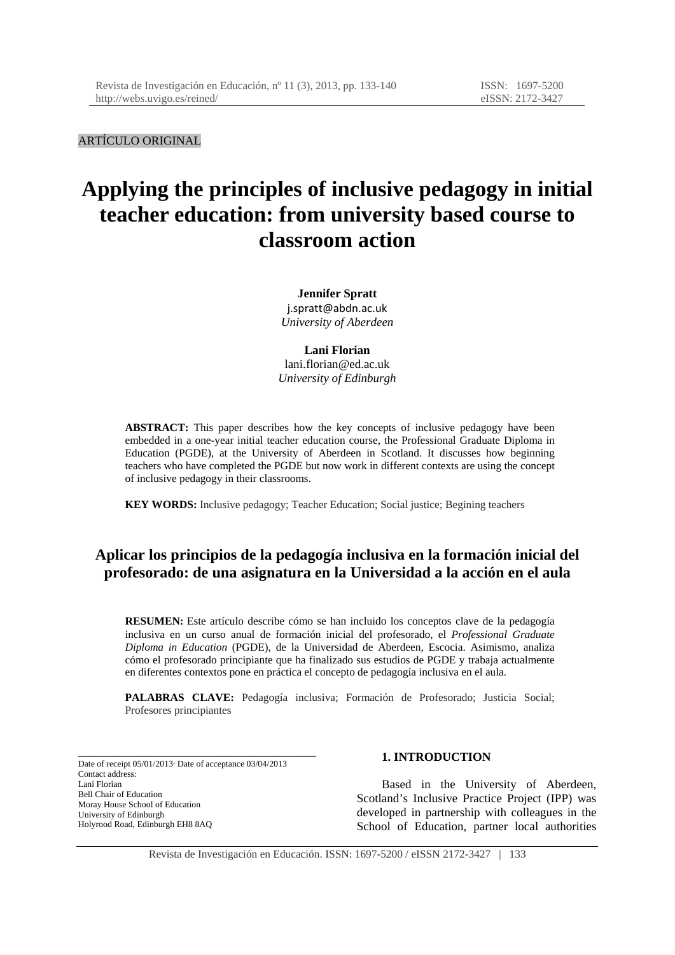ARTÍCULO ORIGINAL

# **Applying the principles of inclusive pedagogy in initial teacher education: from university based course to classroom action**

**Jennifer Spratt**  j.spratt@abdn.ac.uk *University of Aberdeen* 

**Lani Florian**  lani.florian@ed.ac.uk *University of Edinburgh* 

**ABSTRACT:** This paper describes how the key concepts of inclusive pedagogy have been embedded in a one-year initial teacher education course, the Professional Graduate Diploma in Education (PGDE), at the University of Aberdeen in Scotland. It discusses how beginning teachers who have completed the PGDE but now work in different contexts are using the concept of inclusive pedagogy in their classrooms.

**KEY WORDS:** Inclusive pedagogy; Teacher Education; Social justice; Begining teachers

# **Aplicar los principios de la pedagogía inclusiva en la formación inicial del profesorado: de una asignatura en la Universidad a la acción en el aula**

**RESUMEN:** Este artículo describe cómo se han incluido los conceptos clave de la pedagogía inclusiva en un curso anual de formación inicial del profesorado, el *Professional Graduate Diploma in Education* (PGDE), de la Universidad de Aberdeen, Escocia. Asimismo, analiza cómo el profesorado principiante que ha finalizado sus estudios de PGDE y trabaja actualmente en diferentes contextos pone en práctica el concepto de pedagogía inclusiva en el aula.

**PALABRAS CLAVE:** Pedagogía inclusiva; Formación de Profesorado; Justicia Social; Profesores principiantes

Date of receipt 05/01/2013· Date of acceptance 03/04/2013 Contact address: Lani Florian Bell Chair of Education Moray House School of Education University of Edinburgh Holyrood Road, Edinburgh EH8 8AQ

\_\_\_\_\_\_\_\_\_\_\_\_\_\_\_\_\_\_\_\_\_\_\_\_\_\_\_\_\_\_\_\_\_\_\_\_

#### **1. INTRODUCTION**

Based in the University of Aberdeen, Scotland's Inclusive Practice Project (IPP) was developed in partnership with colleagues in the School of Education, partner local authorities

Revista de Investigación en Educación. ISSN: 1697-5200 / eISSN 2172-3427 | 133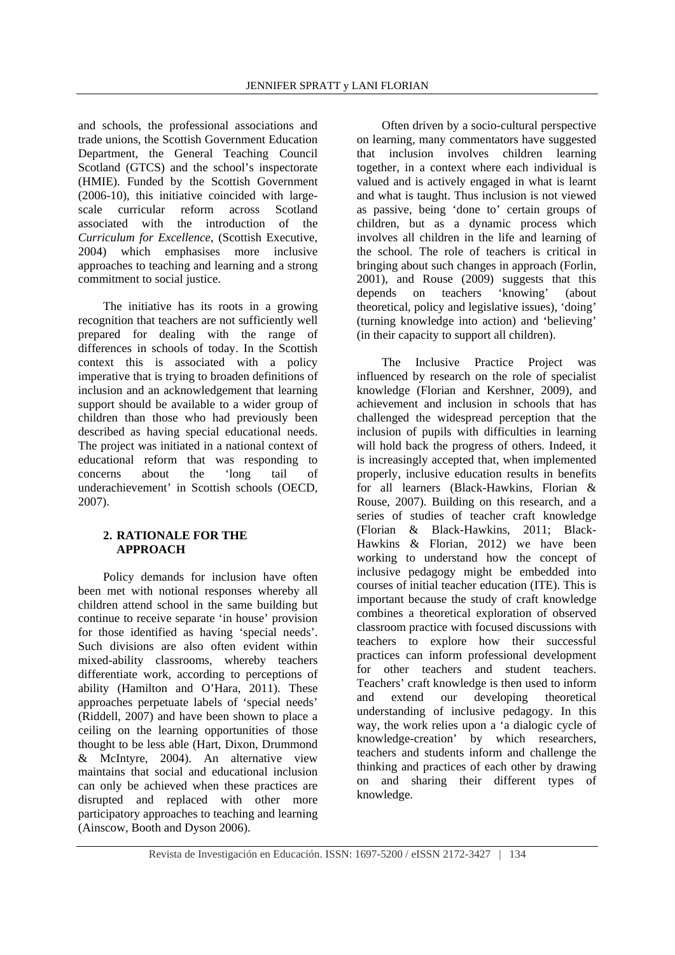and schools, the professional associations and trade unions, the Scottish Government Education Department, the General Teaching Council Scotland (GTCS) and the school's inspectorate (HMIE). Funded by the Scottish Government (2006-10), this initiative coincided with largescale curricular reform across Scotland associated with the introduction of the *Curriculum for Excellence*, (Scottish Executive, 2004) which emphasises more inclusive approaches to teaching and learning and a strong commitment to social justice.

The initiative has its roots in a growing recognition that teachers are not sufficiently well prepared for dealing with the range of differences in schools of today. In the Scottish context this is associated with a policy imperative that is trying to broaden definitions of inclusion and an acknowledgement that learning support should be available to a wider group of children than those who had previously been described as having special educational needs. The project was initiated in a national context of educational reform that was responding to concerns about the 'long tail of underachievement' in Scottish schools (OECD, 2007).

#### **2. RATIONALE FOR THE APPROACH**

Policy demands for inclusion have often been met with notional responses whereby all children attend school in the same building but continue to receive separate 'in house' provision for those identified as having 'special needs'. Such divisions are also often evident within mixed-ability classrooms, whereby teachers differentiate work, according to perceptions of ability (Hamilton and O'Hara, 2011). These approaches perpetuate labels of 'special needs' (Riddell, 2007) and have been shown to place a ceiling on the learning opportunities of those thought to be less able (Hart, Dixon, Drummond & McIntyre, 2004). An alternative view maintains that social and educational inclusion can only be achieved when these practices are disrupted and replaced with other more participatory approaches to teaching and learning (Ainscow, Booth and Dyson 2006).

Often driven by a socio-cultural perspective on learning, many commentators have suggested that inclusion involves children learning together, in a context where each individual is valued and is actively engaged in what is learnt and what is taught. Thus inclusion is not viewed as passive, being 'done to' certain groups of children, but as a dynamic process which involves all children in the life and learning of the school. The role of teachers is critical in bringing about such changes in approach (Forlin, 2001), and Rouse (2009) suggests that this<br>denends on teachers 'knowing' (about depends on teachers 'knowing' (about theoretical, policy and legislative issues), 'doing' (turning knowledge into action) and 'believing' (in their capacity to support all children).

The Inclusive Practice Project was influenced by research on the role of specialist knowledge (Florian and Kershner, 2009), and achievement and inclusion in schools that has challenged the widespread perception that the inclusion of pupils with difficulties in learning will hold back the progress of others. Indeed, it is increasingly accepted that, when implemented properly, inclusive education results in benefits for all learners (Black-Hawkins, Florian & Rouse, 2007). Building on this research, and a series of studies of teacher craft knowledge (Florian & Black-Hawkins, 2011; Black-Hawkins & Florian, 2012) we have been working to understand how the concept of inclusive pedagogy might be embedded into courses of initial teacher education (ITE). This is important because the study of craft knowledge combines a theoretical exploration of observed classroom practice with focused discussions with teachers to explore how their successful practices can inform professional development for other teachers and student teachers. Teachers' craft knowledge is then used to inform and extend our developing theoretical understanding of inclusive pedagogy. In this way, the work relies upon a 'a dialogic cycle of knowledge-creation' by which researchers, teachers and students inform and challenge the thinking and practices of each other by drawing on and sharing their different types of knowledge.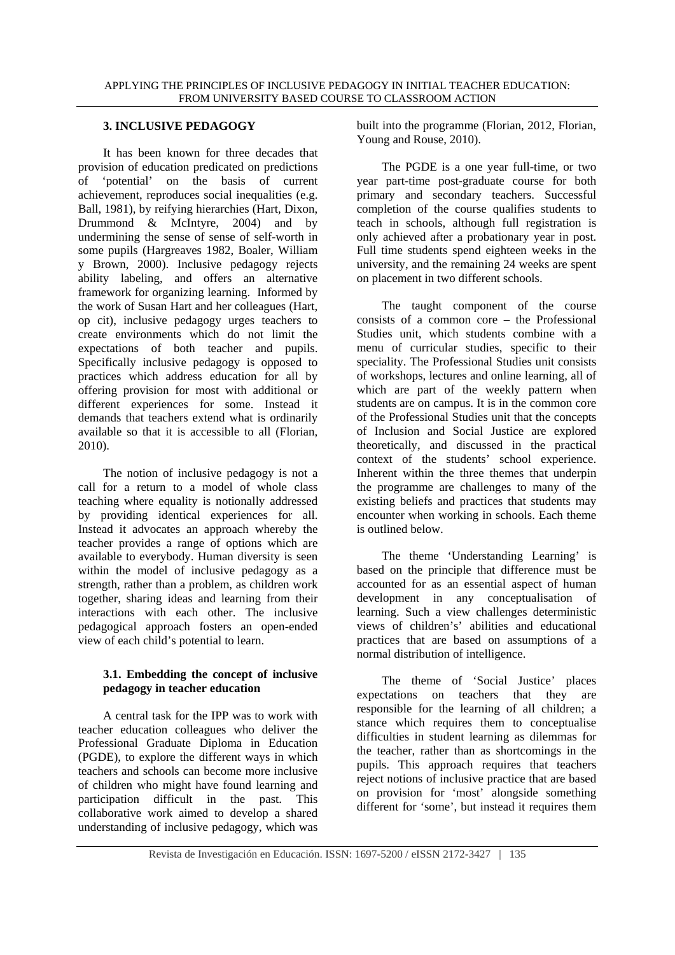# **3. INCLUSIVE PEDAGOGY**

It has been known for three decades that provision of education predicated on predictions of 'potential' on the basis of current achievement, reproduces social inequalities (e.g. Ball, 1981), by reifying hierarchies (Hart, Dixon, Drummond & McIntyre, 2004) and by undermining the sense of sense of self-worth in some pupils (Hargreaves 1982, Boaler, William y Brown, 2000). Inclusive pedagogy rejects ability labeling, and offers an alternative framework for organizing learning. Informed by the work of Susan Hart and her colleagues (Hart, op cit), inclusive pedagogy urges teachers to create environments which do not limit the expectations of both teacher and pupils. Specifically inclusive pedagogy is opposed to practices which address education for all by offering provision for most with additional or different experiences for some. Instead it demands that teachers extend what is ordinarily available so that it is accessible to all (Florian, 2010).

The notion of inclusive pedagogy is not a call for a return to a model of whole class teaching where equality is notionally addressed by providing identical experiences for all. Instead it advocates an approach whereby the teacher provides a range of options which are available to everybody. Human diversity is seen within the model of inclusive pedagogy as a strength, rather than a problem, as children work together, sharing ideas and learning from their interactions with each other. The inclusive pedagogical approach fosters an open-ended view of each child's potential to learn.

## **3.1. Embedding the concept of inclusive pedagogy in teacher education**

A central task for the IPP was to work with teacher education colleagues who deliver the Professional Graduate Diploma in Education (PGDE), to explore the different ways in which teachers and schools can become more inclusive of children who might have found learning and participation difficult in the past. This collaborative work aimed to develop a shared understanding of inclusive pedagogy, which was built into the programme (Florian, 2012, Florian, Young and Rouse, 2010).

The PGDE is a one year full-time, or two year part-time post-graduate course for both primary and secondary teachers. Successful completion of the course qualifies students to teach in schools, although full registration is only achieved after a probationary year in post. Full time students spend eighteen weeks in the university, and the remaining 24 weeks are spent on placement in two different schools.

The taught component of the course consists of a common core – the Professional Studies unit, which students combine with a menu of curricular studies, specific to their speciality. The Professional Studies unit consists of workshops, lectures and online learning, all of which are part of the weekly pattern when students are on campus. It is in the common core of the Professional Studies unit that the concepts of Inclusion and Social Justice are explored theoretically, and discussed in the practical context of the students' school experience. Inherent within the three themes that underpin the programme are challenges to many of the existing beliefs and practices that students may encounter when working in schools. Each theme is outlined below.

The theme 'Understanding Learning' is based on the principle that difference must be accounted for as an essential aspect of human development in any conceptualisation of learning. Such a view challenges deterministic views of children's' abilities and educational practices that are based on assumptions of a normal distribution of intelligence.

The theme of 'Social Justice' places expectations on teachers that they are responsible for the learning of all children; a stance which requires them to conceptualise difficulties in student learning as dilemmas for the teacher, rather than as shortcomings in the pupils. This approach requires that teachers reject notions of inclusive practice that are based on provision for 'most' alongside something different for 'some', but instead it requires them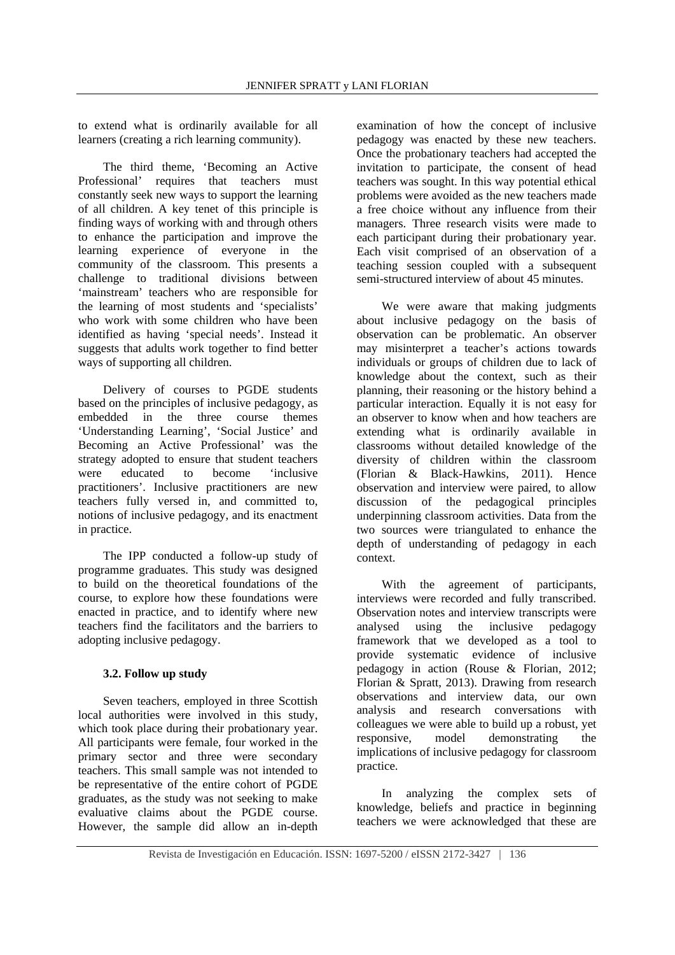to extend what is ordinarily available for all learners (creating a rich learning community).

The third theme, 'Becoming an Active Professional' requires that teachers must constantly seek new ways to support the learning of all children. A key tenet of this principle is finding ways of working with and through others to enhance the participation and improve the learning experience of everyone in the community of the classroom. This presents a challenge to traditional divisions between 'mainstream' teachers who are responsible for the learning of most students and 'specialists' who work with some children who have been identified as having 'special needs'. Instead it suggests that adults work together to find better ways of supporting all children.

Delivery of courses to PGDE students based on the principles of inclusive pedagogy, as embedded in the three course themes 'Understanding Learning', 'Social Justice' and Becoming an Active Professional' was the strategy adopted to ensure that student teachers were educated to become 'inclusive practitioners'. Inclusive practitioners are new teachers fully versed in, and committed to, notions of inclusive pedagogy, and its enactment in practice.

The IPP conducted a follow-up study of programme graduates. This study was designed to build on the theoretical foundations of the course, to explore how these foundations were enacted in practice, and to identify where new teachers find the facilitators and the barriers to adopting inclusive pedagogy.

### **3.2. Follow up study**

Seven teachers, employed in three Scottish local authorities were involved in this study, which took place during their probationary year. All participants were female, four worked in the primary sector and three were secondary teachers. This small sample was not intended to be representative of the entire cohort of PGDE graduates, as the study was not seeking to make evaluative claims about the PGDE course. However, the sample did allow an in-depth

examination of how the concept of inclusive pedagogy was enacted by these new teachers. Once the probationary teachers had accepted the invitation to participate, the consent of head teachers was sought. In this way potential ethical problems were avoided as the new teachers made a free choice without any influence from their managers. Three research visits were made to each participant during their probationary year. Each visit comprised of an observation of a teaching session coupled with a subsequent semi-structured interview of about 45 minutes.

We were aware that making judgments about inclusive pedagogy on the basis of observation can be problematic. An observer may misinterpret a teacher's actions towards individuals or groups of children due to lack of knowledge about the context, such as their planning, their reasoning or the history behind a particular interaction. Equally it is not easy for an observer to know when and how teachers are extending what is ordinarily available in classrooms without detailed knowledge of the diversity of children within the classroom (Florian & Black-Hawkins, 2011). Hence observation and interview were paired, to allow discussion of the pedagogical principles underpinning classroom activities. Data from the two sources were triangulated to enhance the depth of understanding of pedagogy in each context.

With the agreement of participants, interviews were recorded and fully transcribed. Observation notes and interview transcripts were analysed using the inclusive pedagogy framework that we developed as a tool to provide systematic evidence of inclusive pedagogy in action (Rouse & Florian, 2012; Florian & Spratt, 2013). Drawing from research observations and interview data, our own analysis and research conversations with colleagues we were able to build up a robust, yet responsive, model demonstrating the implications of inclusive pedagogy for classroom practice.

In analyzing the complex sets of knowledge, beliefs and practice in beginning teachers we were acknowledged that these are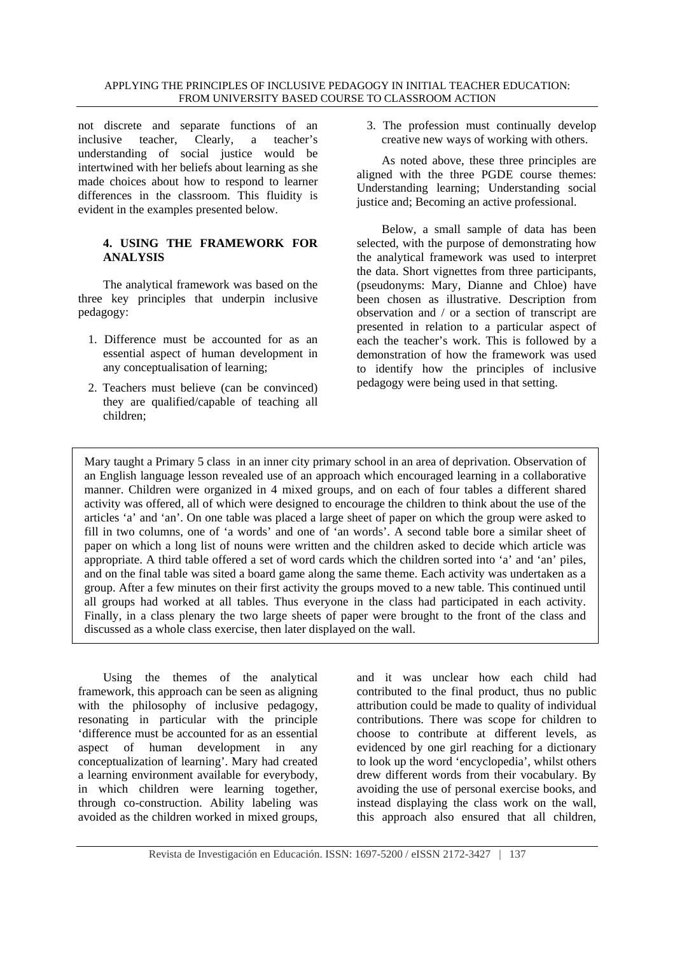#### APPLYING THE PRINCIPLES OF INCLUSIVE PEDAGOGY IN INITIAL TEACHER EDUCATION: FROM UNIVERSITY BASED COURSE TO CLASSROOM ACTION

not discrete and separate functions of an inclusive teacher, Clearly, a teacher's understanding of social justice would be intertwined with her beliefs about learning as she made choices about how to respond to learner differences in the classroom. This fluidity is evident in the examples presented below.

### **4. USING THE FRAMEWORK FOR ANALYSIS**

The analytical framework was based on the three key principles that underpin inclusive pedagogy:

- 1. Difference must be accounted for as an essential aspect of human development in any conceptualisation of learning;
- 2. Teachers must believe (can be convinced) they are qualified/capable of teaching all children;

3. The profession must continually develop creative new ways of working with others.

As noted above, these three principles are aligned with the three PGDE course themes: Understanding learning; Understanding social justice and; Becoming an active professional.

Below, a small sample of data has been selected, with the purpose of demonstrating how the analytical framework was used to interpret the data. Short vignettes from three participants, (pseudonyms: Mary, Dianne and Chloe) have been chosen as illustrative. Description from observation and / or a section of transcript are presented in relation to a particular aspect of each the teacher's work. This is followed by a demonstration of how the framework was used to identify how the principles of inclusive pedagogy were being used in that setting.

Mary taught a Primary 5 class in an inner city primary school in an area of deprivation. Observation of an English language lesson revealed use of an approach which encouraged learning in a collaborative manner. Children were organized in 4 mixed groups, and on each of four tables a different shared activity was offered, all of which were designed to encourage the children to think about the use of the articles 'a' and 'an'. On one table was placed a large sheet of paper on which the group were asked to fill in two columns, one of 'a words' and one of 'an words'. A second table bore a similar sheet of paper on which a long list of nouns were written and the children asked to decide which article was appropriate. A third table offered a set of word cards which the children sorted into 'a' and 'an' piles, and on the final table was sited a board game along the same theme. Each activity was undertaken as a group. After a few minutes on their first activity the groups moved to a new table. This continued until all groups had worked at all tables. Thus everyone in the class had participated in each activity. Finally, in a class plenary the two large sheets of paper were brought to the front of the class and discussed as a whole class exercise, then later displayed on the wall.

Using the themes of the analytical framework, this approach can be seen as aligning with the philosophy of inclusive pedagogy, resonating in particular with the principle 'difference must be accounted for as an essential aspect of human development in any conceptualization of learning'. Mary had created a learning environment available for everybody, in which children were learning together, through co-construction. Ability labeling was avoided as the children worked in mixed groups, and it was unclear how each child had contributed to the final product, thus no public attribution could be made to quality of individual contributions. There was scope for children to choose to contribute at different levels, as evidenced by one girl reaching for a dictionary to look up the word 'encyclopedia', whilst others drew different words from their vocabulary. By avoiding the use of personal exercise books, and instead displaying the class work on the wall, this approach also ensured that all children,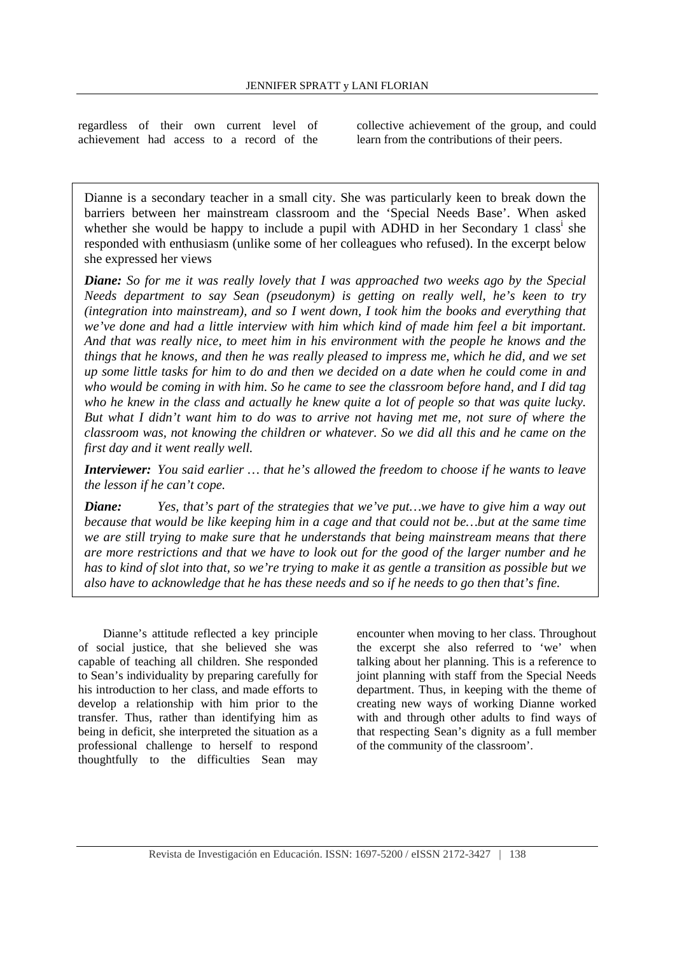regardless of their own current level of achievement had access to a record of the

collective achievement of the group, and could learn from the contributions of their peers.

Dianne is a secondary teacher in a small city. She was particularly keen to break down the barriers between her mainstream classroom and the 'Special Needs Base'. When asked whether she would be happy to include a pupil with  $\overrightarrow{ADHD}$  in her Secondary 1 class<sup>i</sup> she responded with enthusiasm (unlike some of her colleagues who refused). In the excerpt below she expressed her views

*Diane: So for me it was really lovely that I was approached two weeks ago by the Special Needs department to say Sean (pseudonym) is getting on really well, he's keen to try (integration into mainstream), and so I went down, I took him the books and everything that we've done and had a little interview with him which kind of made him feel a bit important. And that was really nice, to meet him in his environment with the people he knows and the things that he knows, and then he was really pleased to impress me, which he did, and we set up some little tasks for him to do and then we decided on a date when he could come in and who would be coming in with him. So he came to see the classroom before hand, and I did tag who he knew in the class and actually he knew quite a lot of people so that was quite lucky. But what I didn't want him to do was to arrive not having met me, not sure of where the classroom was, not knowing the children or whatever. So we did all this and he came on the first day and it went really well.* 

*Interviewer: You said earlier … that he's allowed the freedom to choose if he wants to leave the lesson if he can't cope.* 

*Diane: Yes, that's part of the strategies that we've put…we have to give him a way out because that would be like keeping him in a cage and that could not be…but at the same time we are still trying to make sure that he understands that being mainstream means that there are more restrictions and that we have to look out for the good of the larger number and he has to kind of slot into that, so we're trying to make it as gentle a transition as possible but we also have to acknowledge that he has these needs and so if he needs to go then that's fine.*

Dianne's attitude reflected a key principle of social justice, that she believed she was capable of teaching all children. She responded to Sean's individuality by preparing carefully for his introduction to her class, and made efforts to develop a relationship with him prior to the transfer. Thus, rather than identifying him as being in deficit, she interpreted the situation as a professional challenge to herself to respond thoughtfully to the difficulties Sean may

encounter when moving to her class. Throughout the excerpt she also referred to 'we' when talking about her planning. This is a reference to joint planning with staff from the Special Needs department. Thus, in keeping with the theme of creating new ways of working Dianne worked with and through other adults to find ways of that respecting Sean's dignity as a full member of the community of the classroom'.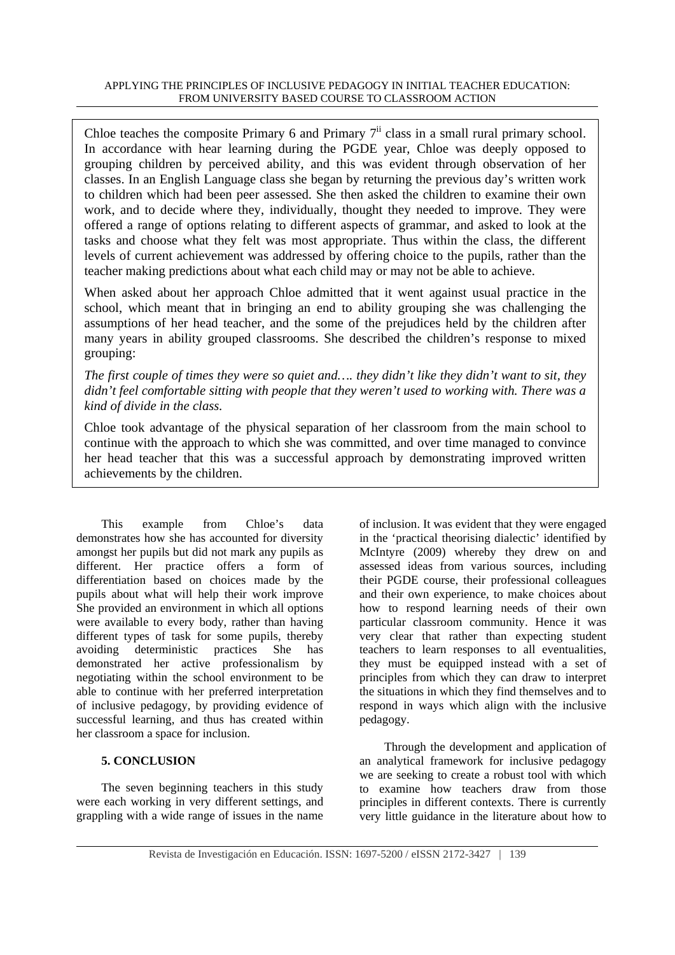#### APPLYING THE PRINCIPLES OF INCLUSIVE PEDAGOGY IN INITIAL TEACHER EDUCATION: FROM UNIVERSITY BASED COURSE TO CLASSROOM ACTION

Chloe teaches the composite Primary 6 and Primary  $7<sup>ii</sup>$  class in a small rural primary school. In accordance with hear learning during the PGDE year, Chloe was deeply opposed to grouping children by perceived ability, and this was evident through observation of her classes. In an English Language class she began by returning the previous day's written work to children which had been peer assessed. She then asked the children to examine their own work, and to decide where they, individually, thought they needed to improve. They were offered a range of options relating to different aspects of grammar, and asked to look at the tasks and choose what they felt was most appropriate. Thus within the class, the different levels of current achievement was addressed by offering choice to the pupils, rather than the teacher making predictions about what each child may or may not be able to achieve.

When asked about her approach Chloe admitted that it went against usual practice in the school, which meant that in bringing an end to ability grouping she was challenging the assumptions of her head teacher, and the some of the prejudices held by the children after many years in ability grouped classrooms. She described the children's response to mixed grouping:

*The first couple of times they were so quiet and…. they didn't like they didn't want to sit, they didn't feel comfortable sitting with people that they weren't used to working with. There was a kind of divide in the class.* 

Chloe took advantage of the physical separation of her classroom from the main school to continue with the approach to which she was committed, and over time managed to convince her head teacher that this was a successful approach by demonstrating improved written achievements by the children.

This example from Chloe's data demonstrates how she has accounted for diversity amongst her pupils but did not mark any pupils as different. Her practice offers a form of differentiation based on choices made by the pupils about what will help their work improve She provided an environment in which all options were available to every body, rather than having different types of task for some pupils, thereby avoiding deterministic practices She has demonstrated her active professionalism by negotiating within the school environment to be able to continue with her preferred interpretation of inclusive pedagogy, by providing evidence of successful learning, and thus has created within her classroom a space for inclusion.

# **5. CONCLUSION**

The seven beginning teachers in this study were each working in very different settings, and grappling with a wide range of issues in the name of inclusion. It was evident that they were engaged in the 'practical theorising dialectic' identified by McIntyre (2009) whereby they drew on and assessed ideas from various sources, including their PGDE course, their professional colleagues and their own experience, to make choices about how to respond learning needs of their own particular classroom community. Hence it was very clear that rather than expecting student teachers to learn responses to all eventualities, they must be equipped instead with a set of principles from which they can draw to interpret the situations in which they find themselves and to respond in ways which align with the inclusive pedagogy.

Through the development and application of an analytical framework for inclusive pedagogy we are seeking to create a robust tool with which to examine how teachers draw from those principles in different contexts. There is currently very little guidance in the literature about how to